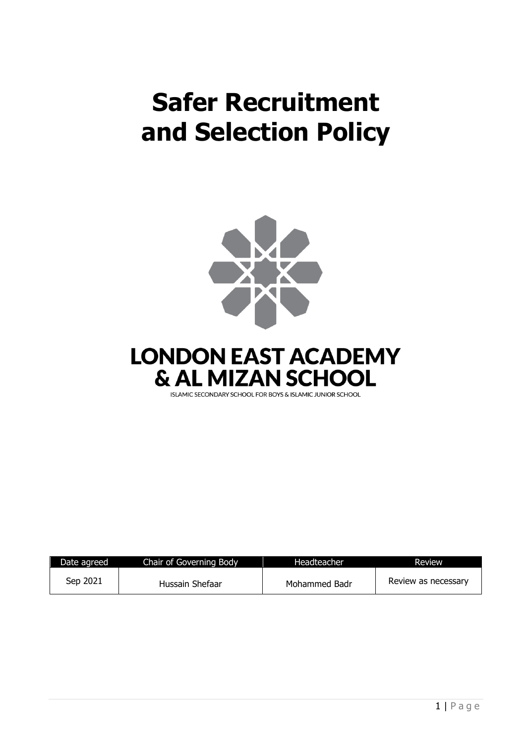# **Safer Recruitment and Selection Policy**





| Date agreed | Chair of Governing Body | Headteacher   | Review              |
|-------------|-------------------------|---------------|---------------------|
| Sep 2021    | Hussain Shefaar         | Mohammed Badr | Review as necessary |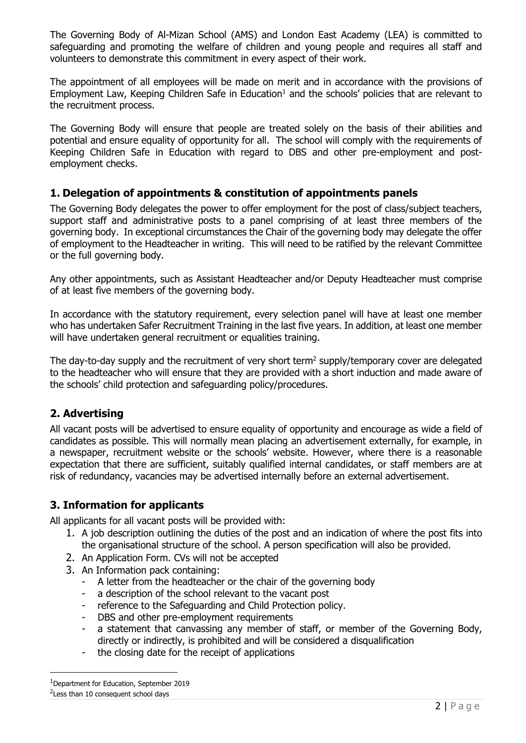The Governing Body of Al-Mizan School (AMS) and London East Academy (LEA) is committed to safeguarding and promoting the welfare of children and young people and requires all staff and volunteers to demonstrate this commitment in every aspect of their work.

The appointment of all employees will be made on merit and in accordance with the provisions of Employment Law, Keeping Children Safe in Education<sup>1</sup> and the schools' policies that are relevant to the recruitment process.

The Governing Body will ensure that people are treated solely on the basis of their abilities and potential and ensure equality of opportunity for all. The school will comply with the requirements of Keeping Children Safe in Education with regard to DBS and other pre-employment and postemployment checks.

# **1. Delegation of appointments & constitution of appointments panels**

The Governing Body delegates the power to offer employment for the post of class/subject teachers, support staff and administrative posts to a panel comprising of at least three members of the governing body. In exceptional circumstances the Chair of the governing body may delegate the offer of employment to the Headteacher in writing. This will need to be ratified by the relevant Committee or the full governing body.

Any other appointments, such as Assistant Headteacher and/or Deputy Headteacher must comprise of at least five members of the governing body.

In accordance with the statutory requirement, every selection panel will have at least one member who has undertaken Safer Recruitment Training in the last five years. In addition, at least one member will have undertaken general recruitment or equalities training.

The day-to-day supply and the recruitment of very short term<sup>2</sup> supply/temporary cover are delegated to the headteacher who will ensure that they are provided with a short induction and made aware of the schools' child protection and safeguarding policy/procedures.

## **2. Advertising**

All vacant posts will be advertised to ensure equality of opportunity and encourage as wide a field of candidates as possible. This will normally mean placing an advertisement externally, for example, in a newspaper, recruitment website or the schools' website. However, where there is a reasonable expectation that there are sufficient, suitably qualified internal candidates, or staff members are at risk of redundancy, vacancies may be advertised internally before an external advertisement.

## **3. Information for applicants**

All applicants for all vacant posts will be provided with:

- 1. A job description outlining the duties of the post and an indication of where the post fits into the organisational structure of the school. A person specification will also be provided.
- 2. An Application Form. CVs will not be accepted
- 3. An Information pack containing:
	- A letter from the headteacher or the chair of the governing body
	- a description of the school relevant to the vacant post
	- reference to the Safeguarding and Child Protection policy.
	- DBS and other pre-employment requirements
	- a statement that canvassing any member of staff, or member of the Governing Body, directly or indirectly, is prohibited and will be considered a disqualification
	- the closing date for the receipt of applications

 $1$ Department for Education, September 2019

<sup>&</sup>lt;sup>2</sup> Less than 10 consequent school days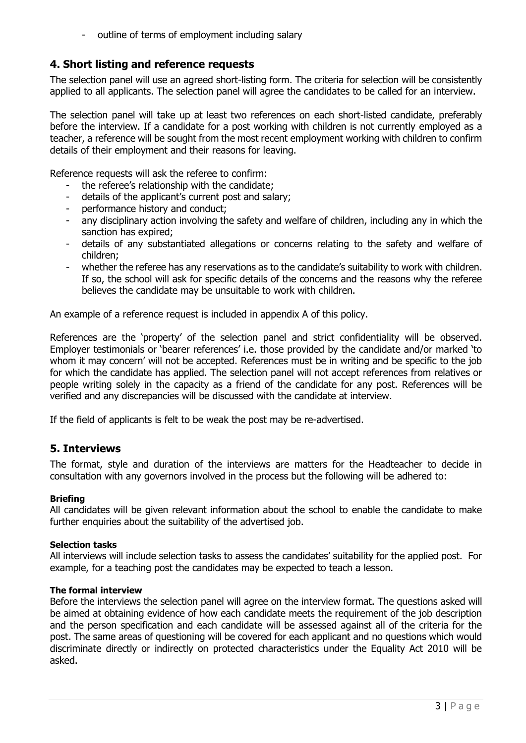outline of terms of employment including salary

# **4. Short listing and reference requests**

The selection panel will use an agreed short-listing form. The criteria for selection will be consistently applied to all applicants. The selection panel will agree the candidates to be called for an interview.

The selection panel will take up at least two references on each short-listed candidate, preferably before the interview. If a candidate for a post working with children is not currently employed as a teacher, a reference will be sought from the most recent employment working with children to confirm details of their employment and their reasons for leaving.

Reference requests will ask the referee to confirm:

- the referee's relationship with the candidate;
- details of the applicant's current post and salary;
- performance history and conduct;
- any disciplinary action involving the safety and welfare of children, including any in which the sanction has expired;
- details of any substantiated allegations or concerns relating to the safety and welfare of children;
- whether the referee has any reservations as to the candidate's suitability to work with children. If so, the school will ask for specific details of the concerns and the reasons why the referee believes the candidate may be unsuitable to work with children.

An example of a reference request is included in appendix A of this policy.

References are the 'property' of the selection panel and strict confidentiality will be observed. Employer testimonials or 'bearer references' i.e. those provided by the candidate and/or marked 'to whom it may concern' will not be accepted. References must be in writing and be specific to the job for which the candidate has applied. The selection panel will not accept references from relatives or people writing solely in the capacity as a friend of the candidate for any post. References will be verified and any discrepancies will be discussed with the candidate at interview.

If the field of applicants is felt to be weak the post may be re-advertised.

## **5. Interviews**

The format, style and duration of the interviews are matters for the Headteacher to decide in consultation with any governors involved in the process but the following will be adhered to:

#### **Briefing**

All candidates will be given relevant information about the school to enable the candidate to make further enquiries about the suitability of the advertised job.

#### **Selection tasks**

All interviews will include selection tasks to assess the candidates' suitability for the applied post. For example, for a teaching post the candidates may be expected to teach a lesson.

#### **The formal interview**

Before the interviews the selection panel will agree on the interview format. The questions asked will be aimed at obtaining evidence of how each candidate meets the requirement of the job description and the person specification and each candidate will be assessed against all of the criteria for the post. The same areas of questioning will be covered for each applicant and no questions which would discriminate directly or indirectly on protected characteristics under the Equality Act 2010 will be asked.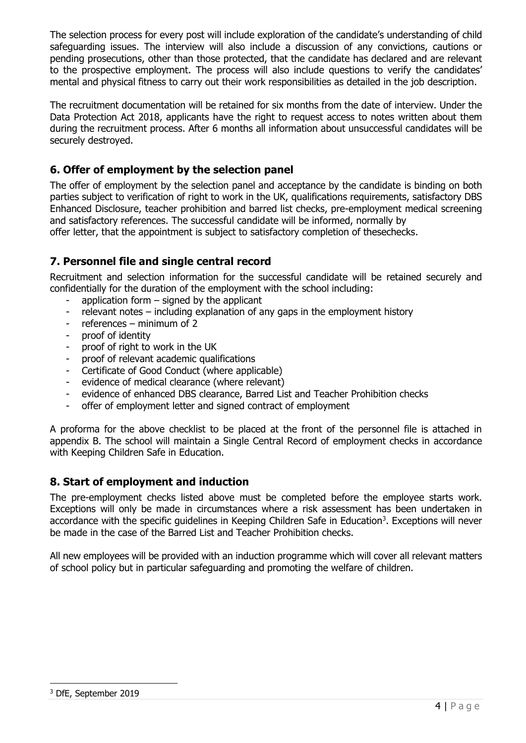The selection process for every post will include exploration of the candidate's understanding of child safeguarding issues. The interview will also include a discussion of any convictions, cautions or pending prosecutions, other than those protected, that the candidate has declared and are relevant to the prospective employment. The process will also include questions to verify the candidates' mental and physical fitness to carry out their work responsibilities as detailed in the job description.

The recruitment documentation will be retained for six months from the date of interview. Under the Data Protection Act 2018, applicants have the right to request access to notes written about them during the recruitment process. After 6 months all information about unsuccessful candidates will be securely destroyed.

# **6. Offer of employment by the selection panel**

The offer of employment by the selection panel and acceptance by the candidate is binding on both parties subject to verification of right to work in the UK, qualifications requirements, satisfactory DBS Enhanced Disclosure, teacher prohibition and barred list checks, pre-employment medical screening and satisfactory references. The successful candidate will be informed, normally by offer letter, that the appointment is subject to satisfactory completion of thesechecks.

# **7. Personnel file and single central record**

Recruitment and selection information for the successful candidate will be retained securely and confidentially for the duration of the employment with the school including:

- application form  $-$  signed by the applicant
- relevant notes including explanation of any gaps in the employment history
- references minimum of 2
- proof of identity
- proof of right to work in the UK
- proof of relevant academic qualifications
- Certificate of Good Conduct (where applicable)
- evidence of medical clearance (where relevant)
- evidence of enhanced DBS clearance, Barred List and Teacher Prohibition checks
- offer of employment letter and signed contract of employment

A proforma for the above checklist to be placed at the front of the personnel file is attached in appendix B. The school will maintain a Single Central Record of employment checks in accordance with Keeping Children Safe in Education.

# **8. Start of employment and induction**

The pre-employment checks listed above must be completed before the employee starts work. Exceptions will only be made in circumstances where a risk assessment has been undertaken in accordance with the specific guidelines in Keeping Children Safe in Education<sup>3</sup>. Exceptions will never be made in the case of the Barred List and Teacher Prohibition checks.

All new employees will be provided with an induction programme which will cover all relevant matters of school policy but in particular safeguarding and promoting the welfare of children.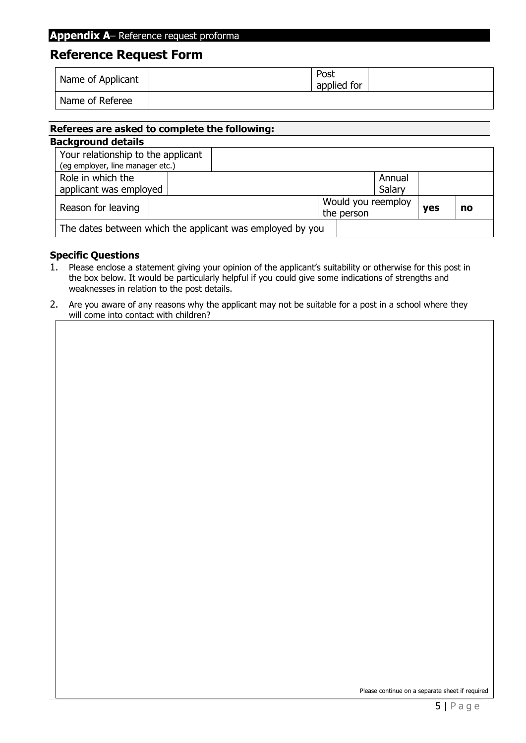# **Reference Request Form**

| Name of Applicant | Post<br>applied for |  |
|-------------------|---------------------|--|
| Name of Referee   |                     |  |

# **Referees are asked to complete the following: Background details**

| Your relationship to the applicant                        |  |  |  |            |                    |            |  |    |
|-----------------------------------------------------------|--|--|--|------------|--------------------|------------|--|----|
| (eg employer, line manager etc.)                          |  |  |  |            |                    |            |  |    |
| Role in which the                                         |  |  |  |            |                    | Annual     |  |    |
| applicant was employed                                    |  |  |  |            |                    | Salary     |  |    |
| Reason for leaving                                        |  |  |  |            | Would you reemploy |            |  | no |
|                                                           |  |  |  | the person |                    | <b>ves</b> |  |    |
| The dates between which the applicant was employed by you |  |  |  |            |                    |            |  |    |

## **Specific Questions**

- 1. Please enclose a statement giving your opinion of the applicant's suitability or otherwise for this post in the box below. It would be particularly helpful if you could give some indications of strengths and weaknesses in relation to the post details.
- 2. Are you aware of any reasons why the applicant may not be suitable for a post in a school where they will come into contact with children?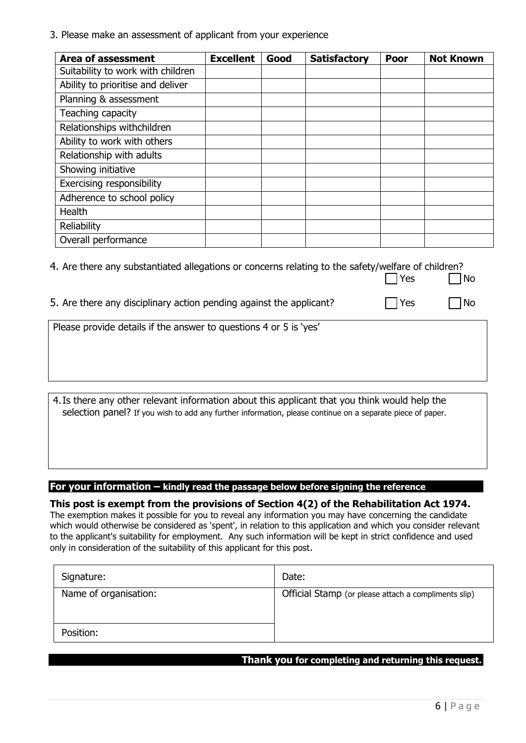3. Please make an assessment of applicant from your experience

| <b>Area of assessment</b>         | <b>Excellent</b> | Good | <b>Satisfactory</b> | Poor | <b>Not Known</b> |
|-----------------------------------|------------------|------|---------------------|------|------------------|
| Suitability to work with children |                  |      |                     |      |                  |
| Ability to prioritise and deliver |                  |      |                     |      |                  |
| Planning & assessment             |                  |      |                     |      |                  |
| Teaching capacity                 |                  |      |                     |      |                  |
| Relationships withchildren        |                  |      |                     |      |                  |
| Ability to work with others       |                  |      |                     |      |                  |
| Relationship with adults          |                  |      |                     |      |                  |
| Showing initiative                |                  |      |                     |      |                  |
| Exercising responsibility         |                  |      |                     |      |                  |
| Adherence to school policy        |                  |      |                     |      |                  |
| <b>Health</b>                     |                  |      |                     |      |                  |
| Reliability                       |                  |      |                     |      |                  |
| Overall performance               |                  |      |                     |      |                  |

| 4. Are there any substantiated allegations or concerns relating to the safety/welfare of children? |  |  |            |           |  |
|----------------------------------------------------------------------------------------------------|--|--|------------|-----------|--|
|                                                                                                    |  |  | $\Box$ Yes | $\Box$ No |  |

5. Are there any disciplinary action pending against the applicant?  $\Box$  Yes  $\Box$  No

4.Is there any other relevant information about this applicant that you think would help the selection panel? If you wish to add any further information, please continue on a separate piece of paper.

#### **For your information – kindly read the passage below before signing the reference**

**This post is exempt from the provisions of Section 4(2) of the Rehabilitation Act 1974.**  The exemption makes it possible for you to reveal any information you may have concerning the candidate which would otherwise be considered as 'spent', in relation to this application and which you consider relevant to the applicant's suitability for employment. Any such information will be kept in strict confidence and used only in consideration of the suitability of this applicant for this post.

| Signature:            | Date:                                                |  |
|-----------------------|------------------------------------------------------|--|
| Name of organisation: | Official Stamp (or please attach a compliments slip) |  |
| Position:             |                                                      |  |

#### **Thank you for completing and returning this request.**